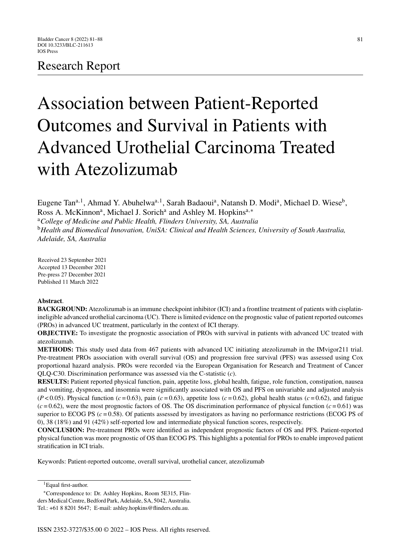# Research Report

# Association between Patient-Reported Outcomes and Survival in Patients with Advanced Urothelial Carcinoma Treated with Atezolizumab

Eugene Tan<sup>a, 1</sup>, Ahmad Y. Abuhelwa<sup>a, 1</sup>, Sarah Badaoui<sup>a</sup>, Natansh D. Modi<sup>a</sup>, Michael D. Wiese<sup>b</sup>, Ross A. McKinnon<sup>a</sup>, Michael J. Sorich<sup>a</sup> and Ashley M. Hopkins<sup>a,∗</sup>

<sup>a</sup>*College of Medicine and Public Health, Flinders University, SA, Australia* <sup>b</sup>*Health and Biomedical Innovation, UniSA: Clinical and Health Sciences, University of South Australia, Adelaide, SA, Australia*

Received 23 September 2021 Accepted 13 December 2021 Pre-press 27 December 2021 Published 11 March 2022

#### **Abstract**.

**BACKGROUND:** Atezolizumab is an immune checkpoint inhibitor (ICI) and a frontline treatment of patients with cisplatinineligible advanced urothelial carcinoma (UC). There is limited evidence on the prognostic value of patient reported outcomes (PROs) in advanced UC treatment, particularly in the context of ICI therapy.

**OBJECTIVE:** To investigate the prognostic association of PROs with survival in patients with advanced UC treated with atezolizumab.

**METHODS:** This study used data from 467 patients with advanced UC initiating atezolizumab in the IMvigor211 trial. Pre-treatment PROs association with overall survival (OS) and progression free survival (PFS) was assessed using Cox proportional hazard analysis. PROs were recorded via the European Organisation for Research and Treatment of Cancer QLQ-C30. Discrimination performance was assessed via the C-statistic (*c*).

**RESULTS:** Patient reported physical function, pain, appetite loss, global health, fatigue, role function, constipation, nausea and vomiting, dyspnoea, and insomnia were significantly associated with OS and PFS on univariable and adjusted analysis  $(P<0.05)$ . Physical function  $(c=0.63)$ , pain  $(c=0.63)$ , appetite loss  $(c=0.62)$ , global health status  $(c=0.62)$ , and fatigue  $(c=0.62)$ , were the most prognostic factors of OS. The OS discrimination performance of physical function  $(c=0.61)$  was superior to ECOG PS  $(c = 0.58)$ . Of patients assessed by investigators as having no performance restrictions (ECOG PS of 0), 38 (18%) and 91 (42%) self-reported low and intermediate physical function scores, respectively.

**CONCLUSION:** Pre-treatment PROs were identified as independent prognostic factors of OS and PFS. Patient-reported physical function was more prognostic of OS than ECOG PS. This highlights a potential for PROs to enable improved patient stratification in ICI trials.

Keywords: Patient-reported outcome, overall survival, urothelial cancer, atezolizumab

<sup>&</sup>lt;sup>1</sup> Equal first-author.

<sup>∗</sup>Correspondence to: Dr. Ashley Hopkins, Room 5E315, Flin-

ders Medical Centre, Bedford Park, Adelaide, SA, 5042, Australia. Tel.: +61 8 8201 5647; E-mail: [ashley.hopkins@flinders.edu.au.](mailto:ashley.hopkins@flinders.edu.au)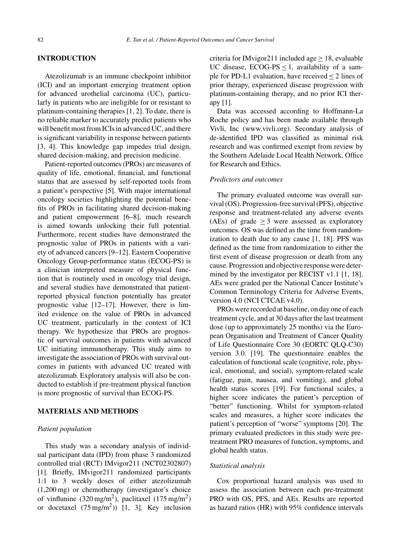#### **INTRODUCTION**

Atezolizumab is an immune checkpoint inhibitor (ICI) and an important emerging treatment option for advanced urothelial carcinoma (UC), particularly in patients who are ineligible for or resistant to platinum-containing therapies [1, 2]. To date, there is no reliable marker to accurately predict patients who will benefit most from ICIs in advanced UC, and there is significant variability in response between patients [3, 4]. This knowledge gap impedes trial design, shared decision-making, and precision medicine.

Patient-reported outcomes (PROs) are measures of quality of life, emotional, financial, and functional status that are assessed by self-reported tools from a patient's perspective [5]. With major international oncology societies highlighting the potential benefits of PROs in facilitating shared decision-making and patient empowerment [6–8], much research is aimed towards unlocking their full potential. Furthermore, recent studies have demonstrated the prognostic value of PROs in patients with a variety of advanced cancers [9–12]. Eastern Cooperative Oncology Group-performance status (ECOG-PS) is a clinician interpreted measure of physical function that is routinely used in oncology trial design, and several studies have demonstrated that patientreported physical function potentially has greater prognostic value [12–17]. However, there is limited evidence on the value of PROs in advanced UC treatment, particularly in the context of ICI therapy. We hypothesize that PROs are prognostic of survival outcomes in patients with advanced UC initiating immunotherapy. This study aims to investigate the association of PROs with survival outcomes in patients with advanced UC treated with atezolizumab. Exploratory analysis will also be conducted to establish if pre-treatment physical function is more prognostic of survival than ECOG-PS.

# **MATERIALS AND METHODS**

#### *Patient population*

This study was a secondary analysis of individual participant data (IPD) from phase 3 randomized controlled trial (RCT) IMvigor211 (NCT02302807) [1]. Briefly, IMvigor211 randomized participants 1:1 to 3 weekly doses of either atezolizumab (1,200 mg) or chemotherapy (investigator's choice of vinflunine  $(320 \text{ mg/m}^2)$ , paclitaxel  $(175 \text{ mg/m}^2)$ or docetaxel  $(75 \text{ mg/m}^2)$  [1, 3]. Key inclusion

criteria for IMvigor211 included age  $\geq$  18, evaluable UC disease,  $ECOG-PS \leq 1$ , availability of a sample for PD-L1 evaluation, have received  $\leq 2$  lines of prior therapy, experienced disease progression with platinum-containing therapy, and no prior ICI therapy [1].

Data was accessed according to Hoffmann-La Roche policy and has been made available through Vivli, Inc ([www.vivli.org\)](www.vivli.org). Secondary analysis of de-identified IPD was classified as minimal risk research and was confirmed exempt from review by the Southern Adelaide Local Health Network, Office for Research and Ethics.

#### *Predictors and outcomes*

The primary evaluated outcome was overall survival (OS). Progression-free survival (PFS), objective response and treatment-related any adverse events (AEs) of grade  $\geq$  3 were assessed as exploratory outcomes. OS was defined as the time from randomization to death due to any cause [1, 18]. PFS was defined as the time from randomization to either the first event of disease progression or death from any cause. Progression and objective response were determined by the investigator per RECIST v1.1 [1, 18]. AEs were graded per the National Cancer Institute's Common Terminology Criteria for Adverse Events, version 4.0 (NCI CTCAE v4.0).

PROs were recorded at baseline, on day one of each treatment cycle, and at 30 days after the last treatment dose (up to approximately 25 months) via the European Organisation and Treatment of Cancer Quality of Life Questionnaire Core 30 (EORTC QLQ-C30) version 3.0. [19]. The questionnaire enables the calculation of functional scale (cognitive, role, physical, emotional, and social), symptom-related scale (fatigue, pain, nausea, and vomiting), and global health status scores [19]. For functional scales, a higher score indicates the patient's perception of "better" functioning. Whilst for symptom-related scales and measures, a higher score indicates the patient's perception of "worse" symptoms [20]. The primary evaluated predictors in this study were pretreatment PRO measures of function, symptoms, and global health status.

#### *Statistical analysis*

Cox proportional hazard analysis was used to assess the association between each pre-treatment PRO with OS, PFS, and AEs. Results are reported as hazard ratios (HR) with 95% confidence intervals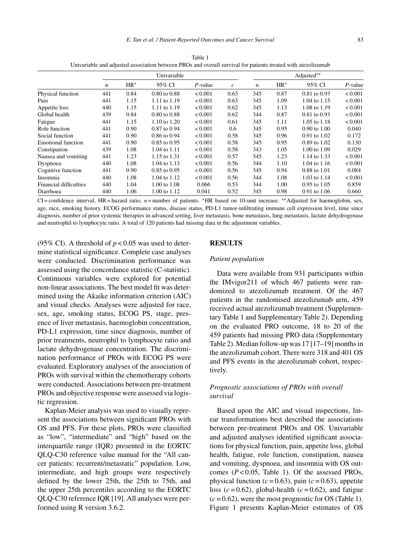|                               | Univariable |        |                         |            |               | Adjusted** |        |                  |            |  |
|-------------------------------|-------------|--------|-------------------------|------------|---------------|------------|--------|------------------|------------|--|
|                               | n           | $HR^*$ | 95% CI                  | $P$ -value | $\mathcal{C}$ | n          | $HR^*$ | 95% CI           | $P$ -value |  |
| Physical function             | 441         | 0.84   | $0.80 \text{ to } 0.88$ | < 0.001    | 0.63          | 345        | 0.87   | $0.81$ to $0.93$ | < 0.001    |  |
| Pain                          | 441         | 1.15   | 1.11 to 1.19            | < 0.001    | 0.63          | 345        | 1.09   | 1.04 to 1.15     | < 0.001    |  |
| Appetite loss                 | 440         | 1.15   | 1.11 to 1.19            | < 0.001    | 0.62          | 345        | 1.13   | 1.08 to 1.19     | < 0.001    |  |
| Global health                 | 439         | 0.84   | $0.80 \text{ to } 0.88$ | < 0.001    | 0.62          | 344        | 0.87   | $0.81$ to $0.93$ | < 0.001    |  |
| Fatigue                       | 441         | 1.15   | 1.10 to 1.20            | < 0.001    | 0.61          | 345        | 1.11   | 1.05 to 1.18     | < 0.001    |  |
| Role function                 | 441         | 0.90   | $0.87$ to $0.94$        | < 0.001    | 0.6           | 345        | 0.95   | 0.90 to 1.00     | 0.040      |  |
| Social function               | 441         | 0.90   | $0.86$ to $0.94$        | < 0.001    | 0.58          | 345        | 0.96   | $0.91$ to $1.02$ | 0.172      |  |
| <b>Emotional function</b>     | 441         | 0.90   | $0.85$ to $0.95$        | < 0.001    | 0.58          | 345        | 0.95   | 0.89 to 1.02     | 0.130      |  |
| Constipation                  | 439         | 1.08   | 1.04 to 1.11            | < 0.001    | 0.58          | 343        | 1.05   | 1.00 to 1.09     | 0.029      |  |
| Nausea and vomiting           | 441         | 1.23   | 1.15 to 1.31            | < 0.001    | 0.57          | 345        | 1.23   | 1.14 to 1.33     | < 0.001    |  |
| Dyspnoea                      | 440         | 1.08   | 1.04 to 1.13            | < 0.001    | 0.56          | 344        | 1.10   | 1.04 to 1.16     | < 0.001    |  |
| Cognitive function            | 441         | 0.90   | $0.85$ to $0.95$        | < 0.001    | 0.56          | 345        | 0.94   | 0.88 to 1.01     | 0.084      |  |
| <i>Insomnia</i>               | 440         | 1.08   | 1.04 to 1.12            | < 0.001    | 0.56          | 344        | 1.08   | 1.03 to 1.14     | < 0.001    |  |
| <b>Financial difficulties</b> | 440         | 1.04   | 1.00 to 1.08            | 0.066      | 0.53          | 344        | 1.00   | $0.95$ to $1.05$ | 0.859      |  |
| Diarrhoea                     | 440         | 1.06   | 1.00 to 1.12            | 0.041      | 0.52          | 345        | 0.98   | $0.91$ to 1.06   | 0.660      |  |

Table 1 Univariable and adjusted association between PROs and overall survival for patients treated with atezolizumab

CI = confidence interval, HR = hazard ratio, *n* = number of patients. ∗HR based on 10-unit increase. ∗∗Adjusted for haemoglobin, sex, age, race, smoking history, ECOG performance status, disease status, PD-L1 tumor-infiltrating immune cell expression level, time since diagnosis, number of prior systemic therapies in advanced setting, liver metastasis, bone metastasis, lung metastasis, lactate dehydrogenase and neutrophil to lymphocyte ratio. A total of 120 patients had missing data in the adjustment variables.

(95% CI). A threshold of  $p < 0.05$  was used to determine statistical significance. Complete case analyses were conducted. Discrimination performance was assessed using the concordance statistic (C-statistic). Continuous variables were explored for potential non-linear associations. The best model fit was determined using the Akaike information criterion (AIC) and visual checks. Analyses were adjusted for race, sex, age, smoking status, ECOG PS, stage, presence of liver metastasis, haemoglobin concentration, PD-L1 expression, time since diagnosis, number of prior treatments, neutrophil to lymphocyte ratio and lactate dehydrogenase concentration. The discrimination performance of PROs with ECOG PS were evaluated. Exploratory analyses of the association of PROs with survival within the chemotherapy cohorts were conducted. Associations between pre-treatment PROs and objective response were assessed via logistic regression.

Kaplan-Meier analysis was used to visually represent the associations between significant PROs with OS and PFS. For these plots, PROs were classified as "low", "intermediate" and "high" based on the interquartile range (IQR) presented in the EORTC QLQ-C30 reference value manual for the "All cancer patients: recurrent/metastatic" population. Low, intermediate, and high groups were respectively defined by the lower 25th, the 25th to 75th, and the upper 25th percentiles according to the EORTC QLQ-C30 reference IQR [19]. All analyses were performed using R version 3.6.2.

# **RESULTS**

#### *Patient population*

Data were available from 931 participants within the IMvigor211 of which 467 patients were randomized to atezolizumab treatment. Of the 467 patients in the randomised atezolizumab arm, 459 received actual atezolizumab treatment (Supplementary Table 1 and Supplementary Table 2). Depending on the evaluated PRO outcome, 18 to 20 of the 459 patients had missing PRO data (Supplementary Table 2). Median follow-up was 17 [17–19] months in the atezolizumab cohort. There were 318 and 401 OS and PFS events in the atezolizumab cohort, respectively.

# *Prognostic associations of PROs with overall survival*

Based upon the AIC and visual inspections, linear transformations best described the associations between pre-treatment PROs and OS. Univariable and adjusted analyses identified significant associations for physical function, pain, appetite loss, global health, fatigue, role function, constipation, nausea and vomiting, dyspnoea, and insomnia with OS outcomes (*P* < 0.05, Table 1). Of the assessed PROs, physical function  $(c=0.63)$ , pain  $(c=0.63)$ , appetite loss  $(c=0.62)$ , global-health  $(c=0.62)$ , and fatigue  $(c = 0.62)$ , were the most prognostic for OS (Table 1). Figure 1 presents Kaplan-Meier estimates of OS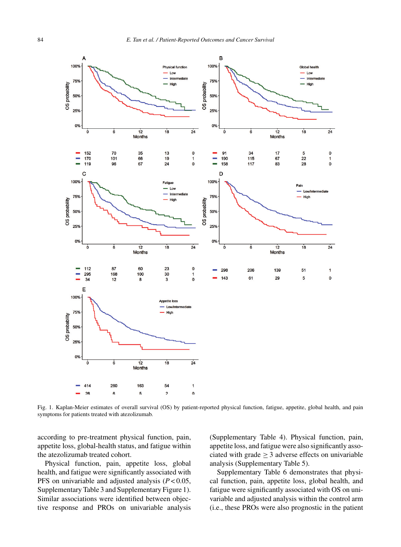

Fig. 1. Kaplan-Meier estimates of overall survival (OS) by patient-reported physical function, fatigue, appetite, global health, and pain symptoms for patients treated with atezolizumab.

according to pre-treatment physical function, pain, appetite loss, global-health status, and fatigue within the atezolizumab treated cohort.

Physical function, pain, appetite loss, global health, and fatigue were significantly associated with PFS on univariable and adjusted analysis (*P* < 0.05, Supplementary Table 3 and Supplementary Figure 1). Similar associations were identified between objective response and PROs on univariable analysis (Supplementary Table 4). Physical function, pain, appetite loss, and fatigue were also significantly associated with grade  $>$  3 adverse effects on univariable analysis (Supplementary Table 5).

Supplementary Table 6 demonstrates that physical function, pain, appetite loss, global health, and fatigue were significantly associated with OS on univariable and adjusted analysis within the control arm (i.e., these PROs were also prognostic in the patient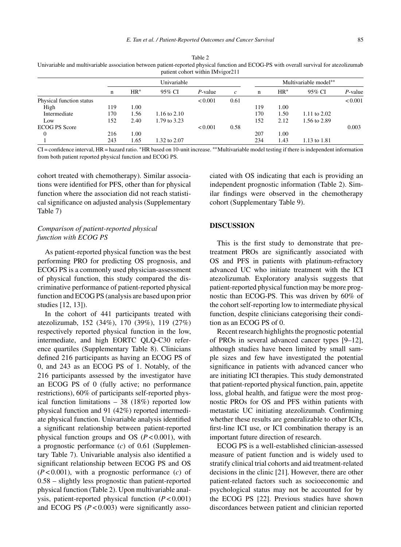patient cohort within IMvigor211

| Table 2                                                                                                                                 |
|-----------------------------------------------------------------------------------------------------------------------------------------|
| Univariable and multivariable association between patient-reported physical function and ECOG-PS with overall survival for atezolizumab |

|                          | Univariable |        |              |            |                   | Multivariable model** |       |              |            |  |
|--------------------------|-------------|--------|--------------|------------|-------------------|-----------------------|-------|--------------|------------|--|
|                          | n           | $HR^*$ | 95% CI       | $P$ -value | $\mathcal{C}_{0}$ | n                     | $HR*$ | 95% CI       | $P$ -value |  |
| Physical function status |             |        |              | < 0.001    | 0.61              |                       |       |              | < 0.001    |  |
| High                     | 119         | 1.00   |              |            |                   | 119                   | 1.00  |              |            |  |
| Intermediate             | 170         | 1.56   | 1.16 to 2.10 |            |                   | 170                   | 1.50  | 1.11 to 2.02 |            |  |
| Low                      | 152         | 2.40   | 1.79 to 3.23 |            |                   | 152                   | 2.12  | 1.56 to 2.89 |            |  |
| <b>ECOG PS Score</b>     |             |        |              | < 0.001    | 0.58              |                       |       |              | 0.003      |  |
| $^{0}$                   | 216         | 1.00   |              |            |                   | 207                   | 1.00  |              |            |  |
|                          | 243         | 1.65   | 1.32 to 2.07 |            |                   | 234                   | 1.43  | 1.13 to 1.81 |            |  |
|                          |             |        |              |            |                   |                       |       |              |            |  |

CI = confidence interval, HR = hazard ratio. ∗HR based on 10-unit increase. ∗∗Multivariable model testing if there is independent information from both patient reported physical function and ECOG PS.

cohort treated with chemotherapy). Similar associations were identified for PFS, other than for physical function where the association did not reach statistical significance on adjusted analysis (Supplementary Table 7)

# *Comparison of patient-reported physical function with ECOG PS*

As patient-reported physical function was the best performing PRO for predicting OS prognosis, and ECOG PS is a commonly used physician-assessment of physical function, this study compared the discriminative performance of patient-reported physical function and ECOG PS (analysis are based upon prior studies [12, 13]).

In the cohort of 441 participants treated with atezolizumab, 152 (34%), 170 (39%), 119 (27%) respectively reported physical function in the low, intermediate, and high EORTC QLQ-C30 reference quartiles (Supplementary Table 8). Clinicians defined 216 participants as having an ECOG PS of 0, and 243 as an ECOG PS of 1. Notably, of the 216 participants assessed by the investigator have an ECOG PS of 0 (fully active; no performance restrictions), 60% of participants self-reported physical function limitations – 38 (18%) reported low physical function and 91 (42%) reported intermediate physical function. Univariable analysis identified a significant relationship between patient-reported physical function groups and OS (*P* < 0.001), with a prognostic performance (*c*) of 0.61 (Supplementary Table 7). Univariable analysis also identified a significant relationship between ECOG PS and OS (*P* < 0.001), with a prognostic performance (*c*) of 0.58 – slightly less prognostic than patient-reported physical function (Table 2). Upon multivariable analysis, patient-reported physical function (*P* < 0.001) and ECOG PS (*P* < 0.003) were significantly associated with OS indicating that each is providing an independent prognostic information (Table 2). Similar findings were observed in the chemotherapy cohort (Supplementary Table 9).

#### **DISCUSSION**

This is the first study to demonstrate that pretreatment PROs are significantly associated with OS and PFS in patients with platinum-refractory advanced UC who initiate treatment with the ICI atezolizumab. Exploratory analysis suggests that patient-reported physical function may be more prognostic than ECOG-PS. This was driven by 60% of the cohort self-reporting low to intermediate physical function, despite clinicians categorising their condition as an ECOG PS of 0.

Recent research highlights the prognostic potential of PROs in several advanced cancer types [9–12], although studies have been limited by small sample sizes and few have investigated the potential significance in patients with advanced cancer who are initiating ICI therapies. This study demonstrated that patient-reported physical function, pain, appetite loss, global health, and fatigue were the most prognostic PROs for OS and PFS within patients with metastatic UC initiating atezolizumab. Confirming whether these results are generalizable to other ICIs, first-line ICI use, or ICI combination therapy is an important future direction of research.

ECOG PS is a well-established clinician-assessed measure of patient function and is widely used to stratify clinical trial cohorts and aid treatment-related decisions in the clinic [21]. However, there are other patient-related factors such as socioeconomic and psychological status may not be accounted for by the ECOG PS [22]. Previous studies have shown discordances between patient and clinician reported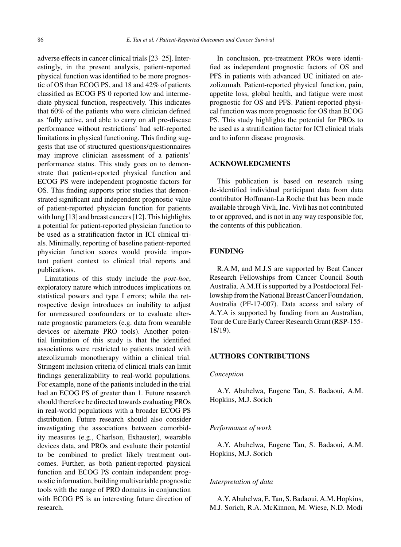adverse effects in cancer clinical trials [23–25]. Interestingly, in the present analysis, patient-reported physical function was identified to be more prognostic of OS than ECOG PS, and 18 and 42% of patients classified as ECOG PS 0 reported low and intermediate physical function, respectively. This indicates that 60% of the patients who were clinician defined as 'fully active, and able to carry on all pre-disease performance without restrictions' had self-reported limitations in physical functioning. This finding suggests that use of structured questions/questionnaires may improve clinician assessment of a patients' performance status. This study goes on to demonstrate that patient-reported physical function and ECOG PS were independent prognostic factors for OS. This finding supports prior studies that demonstrated significant and independent prognostic value of patient-reported physician function for patients with lung [13] and breast cancers [12]. This highlights a potential for patient-reported physician function to be used as a stratification factor in ICI clinical trials. Minimally, reporting of baseline patient-reported physician function scores would provide important patient context to clinical trial reports and publications.

Limitations of this study include the *post-hoc*, exploratory nature which introduces implications on statistical powers and type I errors; while the retrospective design introduces an inability to adjust for unmeasured confounders or to evaluate alternate prognostic parameters (e.g. data from wearable devices or alternate PRO tools). Another potential limitation of this study is that the identified associations were restricted to patients treated with atezolizumab monotherapy within a clinical trial. Stringent inclusion criteria of clinical trials can limit findings generalizability to real-world populations. For example, none of the patients included in the trial had an ECOG PS of greater than 1. Future research should therefore be directed towards evaluating PROs in real-world populations with a broader ECOG PS distribution. Future research should also consider investigating the associations between comorbidity measures (e.g., Charlson, Exhauster), wearable devices data, and PROs and evaluate their potential to be combined to predict likely treatment outcomes. Further, as both patient-reported physical function and ECOG PS contain independent prognostic information, building multivariable prognostic tools with the range of PRO domains in conjunction with ECOG PS is an interesting future direction of research.

In conclusion, pre-treatment PROs were identified as independent prognostic factors of OS and PFS in patients with advanced UC initiated on atezolizumab. Patient-reported physical function, pain, appetite loss, global health, and fatigue were most prognostic for OS and PFS. Patient-reported physical function was more prognostic for OS than ECOG PS. This study highlights the potential for PROs to be used as a stratification factor for ICI clinical trials and to inform disease prognosis.

#### **ACKNOWLEDGMENTS**

This publication is based on research using de-identified individual participant data from data contributor Hoffmann-La Roche that has been made available through Vivli, Inc. Vivli has not contributed to or approved, and is not in any way responsible for, the contents of this publication.

# **FUNDING**

R.A.M, and M.J.S are supported by Beat Cancer Research Fellowships from Cancer Council South Australia. A.M.H is supported by a Postdoctoral Fellowship from the National Breast Cancer Foundation, Australia (PF-17-007). Data access and salary of A.Y.A is supported by funding from an Australian, Tour de Cure Early Career Research Grant (RSP-155- 18/19).

## **AUTHORS CONTRIBUTIONS**

#### *Conception*

A.Y. Abuhelwa, Eugene Tan, S. Badaoui, A.M. Hopkins, M.J. Sorich

#### *Performance of work*

A.Y. Abuhelwa, Eugene Tan, S. Badaoui, A.M. Hopkins, M.J. Sorich

## *Interpretation of data*

A.Y. Abuhelwa, E. Tan, S. Badaoui, A.M. Hopkins, M.J. Sorich, R.A. McKinnon, M. Wiese, N.D. Modi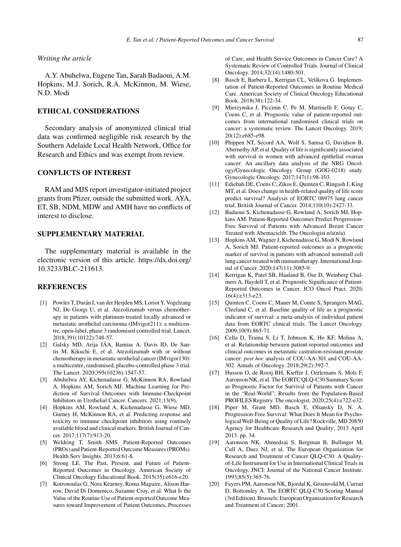#### *Writing the article*

A.Y. Abuhelwa, Eugene Tan, Sarah Badaoui, A.M. Hopkins, M.J. Sorich, R.A. McKinnon, M. Wiese, N.D. Modi

# **ETHICAL CONSIDERATIONS**

Secondary analysis of anonymized clinical trial data was confirmed negligible risk research by the Southern Adelaide Local Health Network, Office for Research and Ethics and was exempt from review.

# **CONFLICTS OF INTEREST**

RAM and MJS report investigator-initiated project grants from Pfizer, outside the submitted work. AYA, ET, SB, NDM, MDW and AMH have no conflicts of interest to disclose.

# **SUPPLEMENTARY MATERIAL**

The supplementary material is available in the electronic version of this article: [https://dx.doi.org/](https://dx.doi.org/10.3233/BLC-211613) [10.3233/BLC-211613.](https://dx.doi.org/10.3233/BLC-211613)

#### **REFERENCES**

- [1] Powles T, Durán I, van der Heijden MS, Loriot Y, Vogelzang NJ, De Giorgi U, et al. Atezolizumab versus chemotherapy in patients with platinum-treated locally advanced or metastatic urothelial carcinoma (IMvigor211): a multicentre, open-label, phase 3 randomised controlled trial. Lancet. 2018;391(10122):748-57.
- [2] Galsky MD, Arija JÁA, Bamias A, Davis ID, De Santis M, Kikuchi E, et al. Atezolizumab with or without chemotherapy in metastatic urothelial cancer (IMvigor130): a multicentre, randomised, placebo-controlled phase 3 trial. The Lancet. 2020;395(10236):1547-57.
- [3] Abuhelwa AY, Kichenadasse G, McKinnon RA, Rowland A, Hopkins AM, Sorich MJ. Machine Learning for Prediction of Survival Outcomes with Immune-Checkpoint Inhibitors in Urothelial Cancer. Cancers. 2021;13(9).
- [4] Hopkins AM, Rowland A, Kichenadasse G, Wiese MD, Gurney H, McKinnon RA, et al. Predicting response and toxicity to immune checkpoint inhibitors using routinely available blood and clinical markers. British Journal of Cancer. 2017;117(7):913-20.
- [5] Weldring T, Smith SMS. Patient-Reported Outcomes (PROs) and Patient-Reported Outcome Measures (PROMs). Health Serv Insights. 2013;6:61-8.
- [6] Strong LE. The Past, Present, and Future of Patient-Reported Outcomes in Oncology. American Society of Clinical Oncology Educational Book. 2015(35):e616-e20.
- [7] Kotronoulas G, Nora Kearney, Roma Maguire, Alison Harrow, David Di Domenico, Suzanne Croy, et al. What Is the Value of the Routine Use of Patient-reported Outcome Measures toward Improvement of Patient Outcomes, Processes

of Care, and Health Service Outcomes in Cancer Care? A Systematic Review of Controlled Trials. Journal of Clinical Oncology. 2014;32(14):1480-501.

- [8] Basch E, Barbera L, Kerrigan CL, Velikova G. Implementation of Patient-Reported Outcomes in Routine Medical Care. American Society of Clinical Oncology Educational Book. 2018(38):122-34.
- [9] Mierzynska J, Piccinin C, Pe M, Martinelli F, Gotay C, Coens C, et al. Prognostic value of patient-reported outcomes from international randomised clinical trials on cancer: a systematic review. The Lancet Oncology. 2019; 20(12):e685-e98.
- [10] Phippen NT, Secord AA, Wolf S, Samsa G, Davidson B, Abernethy AP, et al. Quality of life is significantly associated with survival in women with advanced epithelial ovarian cancer: An ancillary data analysis of the NRG Oncology/Gynecologic Oncology Group (GOG-0218) study. Gynecologic Oncology. 2017;147(1):98-103.
- [11] Ediebah DE, Coens C, Zikos E, Quinten C, Ringash J, King MT, et al. Does change in health-related quality of life score predict survival? Analysis of EORTC 08975 lung cancer trial. British Journal of Cancer. 2014;110(10):2427-33.
- [12] Badaoui S, Kichenadasse G, Rowland A, Sorich MJ, Hopkins AM. Patient-Reported Outcomes Predict Progression-Free Survival of Patients with Advanced Breast Cancer Treated with Abemaciclib. The Oncologist.n/a(n/a).
- [13] Hopkins AM, Wagner J, Kichenadasse G, Modi N, Rowland A, Sorich MJ. Patient-reported outcomes as a prognostic marker of survival in patients with advanced nonsmall cell lung cancer treated with immunotherapy. International Journal of Cancer. 2020;147(11):3085-9.
- [14] Kerrigan K, Patel SB, Haaland B, Ose D, Weinberg Chalmers A, Haydell T, et al. Prognostic Significance of Patient-Reported Outcomes in Cancer. JCO Oncol Pract. 2020; 16(4):e313-e23.
- [15] Quinten C, Coens C, Mauer M, Comte S, Sprangers MAG, Cleeland C, et al. Baseline quality of life as a prognostic indicator of survival: a meta-analysis of individual patient data from EORTC clinical trials. The Lancet Oncology. 2009;10(9):865-71.
- [16] Cella D, Traina S, Li T, Johnson K, Ho KF, Molina A, et al. Relationship between patient-reported outcomes and clinical outcomes in metastatic castration-resistant prostate cancer: *post hoc* analysis of COU-AA-301 and COU-AA-302. Annals of Oncology. 2018;29(2):392-7.
- [17] Husson O, de Rooij BH, Kieffer J, Oerlemans S, Mols F, Aaronson NK, et al. The EORTC QLQ-C30 Summary Score as Prognostic Factor for Survival of Patients with Cancer in the "Real-World": Results from the Population-Based PROFILES Registry. The oncologist. 2020;25(4):e722-e32.
- [18] Piper M, Grant MD, Basch E, Oliansky D, N. A. Progression-Free Survival: What Does It Mean for Psychological Well-Being or Quality of Life? Rockville, MD 20850 Agency for Healthcare Research and Quality; 2013 April 2013. pp. 34.
- [19] Aaronson NK, Ahmedzai S, Bergman B, Bullinger M, Cull A, Duez NJ, et al. The European Organization for Research and Treatment of Cancer QLQ-C30: A Qualityof-Life Instrument for Use in International Clinical Trials in Oncology. JNCI: Journal of the National Cancer Institute. 1993;85(5):365-76.
- [20] Fayers PM, Aaronson NK, Bjordal K, Groenvold M, Curran D, Bottomley A. The EORTC QLQ-C30 Scoring Manual (3rd Edition). Brussels: European Organisation for Research and Treatment of Cancer; 2001.